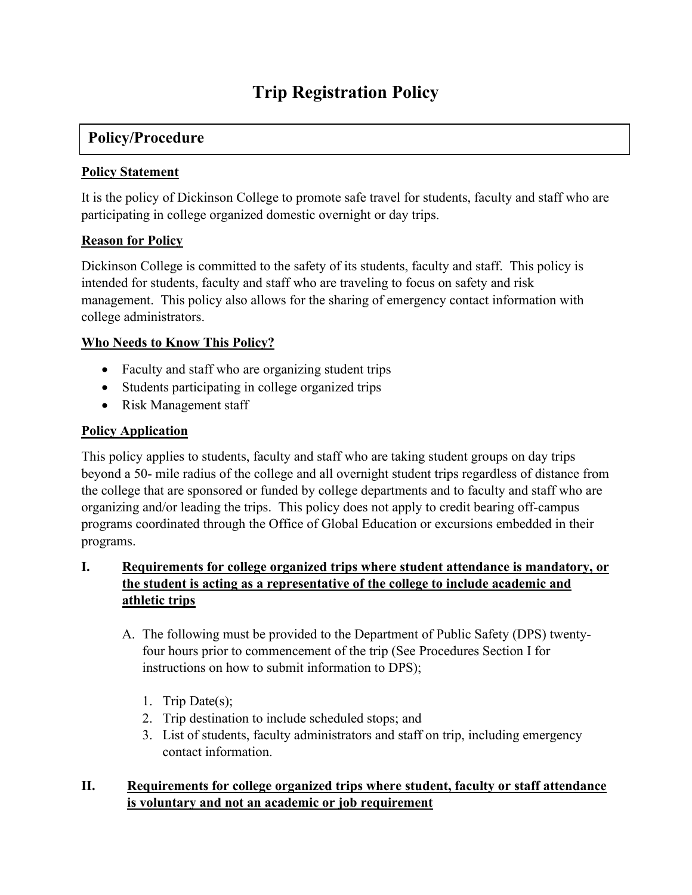# **Trip Registration Policy**

# **Policy/Procedure**

#### **Policy Statement**

It is the policy of Dickinson College to promote safe travel for students, faculty and staff who are participating in college organized domestic overnight or day trips.

#### **Reason for Policy**

Dickinson College is committed to the safety of its students, faculty and staff. This policy is intended for students, faculty and staff who are traveling to focus on safety and risk management. This policy also allows for the sharing of emergency contact information with college administrators.

#### **Who Needs to Know This Policy?**

- Faculty and staff who are organizing student trips
- Students participating in college organized trips
- Risk Management staff

#### **Policy Application**

This policy applies to students, faculty and staff who are taking student groups on day trips beyond a 50- mile radius of the college and all overnight student trips regardless of distance from the college that are sponsored or funded by college departments and to faculty and staff who are organizing and/or leading the trips. This policy does not apply to credit bearing off-campus programs coordinated through the Office of Global Education or excursions embedded in their programs.

## **I. Requirements for college organized trips where student attendance is mandatory, or the student is acting as a representative of the college to include academic and athletic trips**

- A. The following must be provided to the Department of Public Safety (DPS) twentyfour hours prior to commencement of the trip (See Procedures Section I for instructions on how to submit information to DPS);
	- 1. Trip Date(s);
	- 2. Trip destination to include scheduled stops; and
	- 3. List of students, faculty administrators and staff on trip, including emergency contact information.

#### **II. Requirements for college organized trips where student, faculty or staff attendance is voluntary and not an academic or job requirement**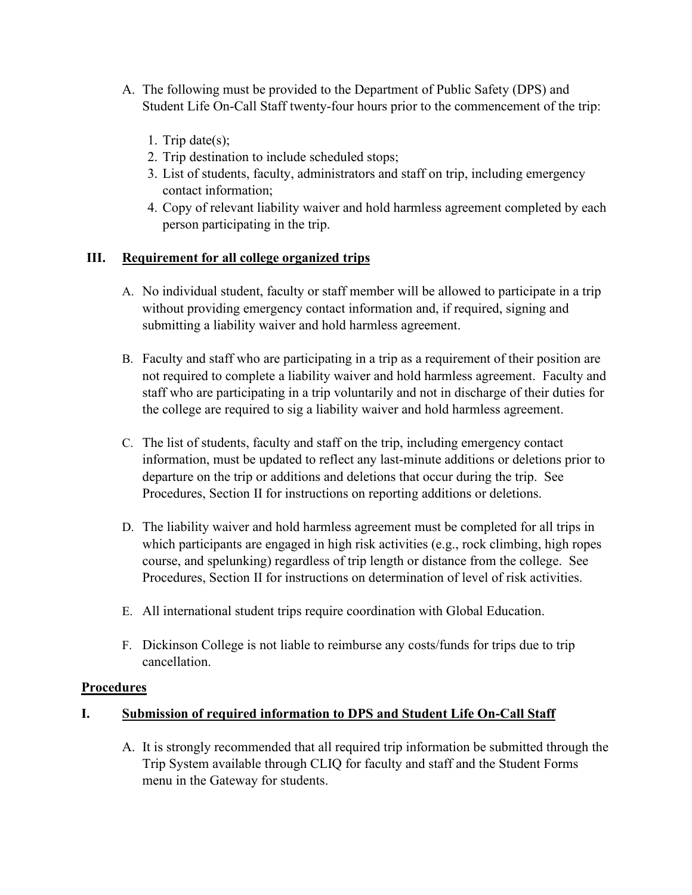- A. The following must be provided to the Department of Public Safety (DPS) and Student Life On-Call Staff twenty-four hours prior to the commencement of the trip:
	- 1. Trip date(s);
	- 2. Trip destination to include scheduled stops;
	- 3. List of students, faculty, administrators and staff on trip, including emergency contact information;
	- 4. Copy of relevant liability waiver and hold harmless agreement completed by each person participating in the trip.

#### **III. Requirement for all college organized trips**

- A. No individual student, faculty or staff member will be allowed to participate in a trip without providing emergency contact information and, if required, signing and submitting a liability waiver and hold harmless agreement.
- B. Faculty and staff who are participating in a trip as a requirement of their position are not required to complete a liability waiver and hold harmless agreement. Faculty and staff who are participating in a trip voluntarily and not in discharge of their duties for the college are required to sig a liability waiver and hold harmless agreement.
- C. The list of students, faculty and staff on the trip, including emergency contact information, must be updated to reflect any last-minute additions or deletions prior to departure on the trip or additions and deletions that occur during the trip. See Procedures, Section II for instructions on reporting additions or deletions.
- D. The liability waiver and hold harmless agreement must be completed for all trips in which participants are engaged in high risk activities (e.g., rock climbing, high ropes course, and spelunking) regardless of trip length or distance from the college. See Procedures, Section II for instructions on determination of level of risk activities.
- E. All international student trips require coordination with Global Education.
- F. Dickinson College is not liable to reimburse any costs/funds for trips due to trip cancellation.

#### **Procedures**

#### **I. Submission of required information to DPS and Student Life On-Call Staff**

A. It is strongly recommended that all required trip information be submitted through the Trip System available through CLIQ for faculty and staff and the Student Forms menu in the Gateway for students.